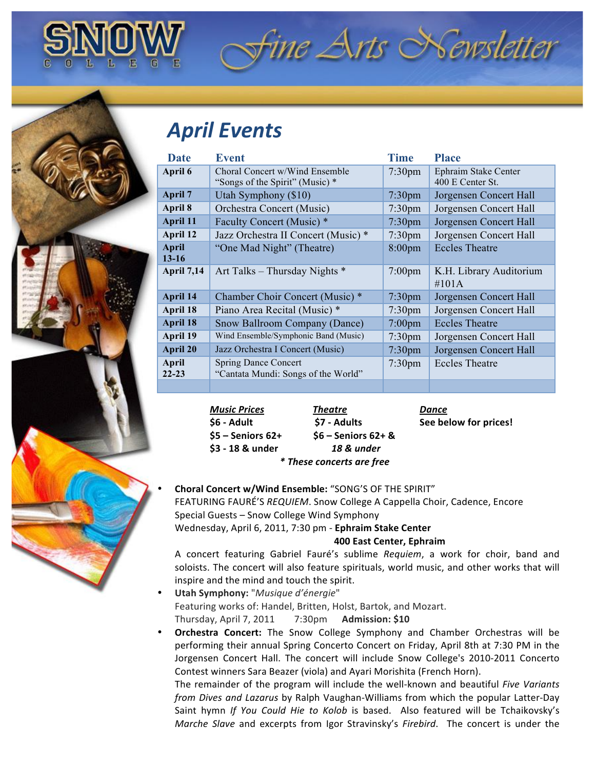

## fine Arts Newsletter

## *April&Events*

| <b>Date</b>        | <b>Event</b>                                                       | <b>Time</b>        | <b>Place</b>                             |
|--------------------|--------------------------------------------------------------------|--------------------|------------------------------------------|
| April 6            | Choral Concert w/Wind Ensemble<br>"Songs of the Spirit" (Music) *  | $7:30$ pm          | Ephraim Stake Center<br>400 E Center St. |
| <b>April 7</b>     | Utah Symphony (\$10)                                               | 7:30 <sub>pm</sub> | Jorgensen Concert Hall                   |
| April 8            | Orchestra Concert (Music)                                          | $7:30$ pm          | Jorgensen Concert Hall                   |
| <b>April 11</b>    | Faculty Concert (Music) *                                          | 7:30 <sub>pm</sub> | Jorgensen Concert Hall                   |
| April 12           | Jazz Orchestra II Concert (Music) *                                | $7:30$ pm          | Jorgensen Concert Hall                   |
| April<br>$13 - 16$ | "One Mad Night" (Theatre)                                          | $8:00$ pm          | <b>Eccles Theatre</b>                    |
| <b>April 7,14</b>  | Art Talks - Thursday Nights *                                      | $7:00$ pm          | K.H. Library Auditorium<br>$\#101A$      |
| April 14           | Chamber Choir Concert (Music) *                                    | 7:30 <sub>pm</sub> | Jorgensen Concert Hall                   |
| April 18           | Piano Area Recital (Music) *                                       | $7:30$ pm          | Jorgensen Concert Hall                   |
| April 18           | Snow Ballroom Company (Dance)                                      | $7:00$ pm          | <b>Eccles Theatre</b>                    |
| April 19           | Wind Ensemble/Symphonic Band (Music)                               | 7:30 <sub>pm</sub> | Jorgensen Concert Hall                   |
| <b>April 20</b>    | Jazz Orchestra I Concert (Music)                                   | 7:30 <sub>pm</sub> | Jorgensen Concert Hall                   |
| April<br>$22 - 23$ | <b>Spring Dance Concert</b><br>"Cantata Mundi: Songs of the World" | $7:30$ pm          | <b>Eccles Theatre</b>                    |
|                    |                                                                    |                    |                                          |

| <b>Music Prices</b> | <b>Theatre</b>            | Dance                 |
|---------------------|---------------------------|-----------------------|
| S6 - Adult          | \$7 - Adults              | See below for prices! |
| $$5 -$ Seniors 62+  | $$6 -$ Seniors $62+$ &    |                       |
| \$3 - 18 & under    | 18 & under                |                       |
|                     | * These concerts are free |                       |

**Choral Concert w/Wind Ensemble: "SONG'S OF THE SPIRIT"** FEATURING FAURÉ'S *REQUIEM*. Snow College A Cappella Choir, Cadence, Encore Special Guests – Snow College Wind Symphony Wednesday, April 6, 2011, 7:30 pm - Ephraim Stake Center

## **400 East Center, Ephraim**

A concert featuring Gabriel Fauré's sublime *Requiem*, a work for choir, band and soloists. The concert will also feature spirituals, world music, and other works that will inspire and the mind and touch the spirit.

**Utah Symphony:** "Musique d'énergie" Featuring works of: Handel, Britten, Holst, Bartok, and Mozart. Thursday,!April!7,!2011!!!!!!!!7:30pm!!!!!!**Admission:!\$10**

**Orchestra Concert:** The Snow College Symphony and Chamber Orchestras will be performing their annual Spring Concerto Concert on Friday, April 8th at 7:30 PM in the Jorgensen Concert Hall. The concert will include Snow College's 2010-2011 Concerto Contest winners Sara Beazer (viola) and Ayari Morishita (French Horn).

The remainder of the program will include the well-known and beautiful *Five Variants from Dives and Lazarus* by Ralph Vaughan-Williams from which the popular Latter-Day Saint hymn If You Could Hie to Kolob is based. Also featured will be Tchaikovsky's *Marche Slave* and excerpts from Igor Stravinsky's *Firebird*. The concert is under the